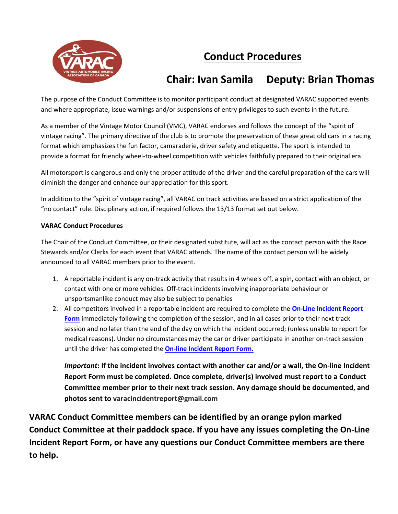

# **Conduct Procedures**

## **Chair: Ivan Samila Deputy: Brian Thomas**

The purpose of the Conduct Committee is to monitor participant conduct at designated VARAC supported events and where appropriate, issue warnings and/or suspensions of entry privileges to such events in the future.

As a member of the Vintage Motor Council (VMC), VARAC endorses and follows the concept of the "spirit of vintage racing". The primary directive of the club is to promote the preservation of these great old cars in a racing format which emphasizes the fun factor, camaraderie, driver safety and etiquette. The sport is intended to provide a format for friendly wheel-to-wheel competition with vehicles faithfully prepared to their original era.

All motorsport is dangerous and only the proper attitude of the driver and the careful preparation of the cars will diminish the danger and enhance our appreciation for this sport.

In addition to the "spirit of vintage racing", all VARAC on track activities are based on a strict application of the "no contact" rule. Disciplinary action, if required follows the 13/13 format set out below.

#### **VARAC Conduct Procedures**

The Chair of the Conduct Committee, or their designated substitute, will act as the contact person with the Race Stewards and/or Clerks for each event that VARAC attends. The name of the contact person will be widely announced to all VARAC members prior to the event.

- 1. A reportable incident is any on-track activity that results in 4 wheels off, a spin, contact with an object, or contact with one or more vehicles. Off-track incidents involving inappropriate behaviour or unsportsmanlike conduct may also be subject to penalties
- 2. All competitors involved in a reportable incident are required to complete the **[On-Line Incident Report](https://sites.google.com/view/varacconduct/home)  [Form](https://sites.google.com/view/varacconduct/home)** immediately following the completion of the session, and in all cases prior to their next track session and no later than the end of the day on which the incident occurred; (unless unable to report for medical reasons). Under no circumstances may the car or driver participate in another on-track session until the driver has completed the **[On-line Incident Report Form.](https://sites.google.com/view/varacconduct/home)**

*Important***: If the incident involves contact with another car and/or a wall, the On-line Incident Report Form must be completed. Once complete, driver(s) involved must report to a Conduct Committee member prior to their next track session. Any damage should be documented, and photos sent to varacincidentreport@gmail.com**

**VARAC Conduct Committee members can be identified by an orange pylon marked Conduct Committee at their paddock space. If you have any issues completing the On-Line Incident Report Form, or have any questions our Conduct Committee members are there to help.**